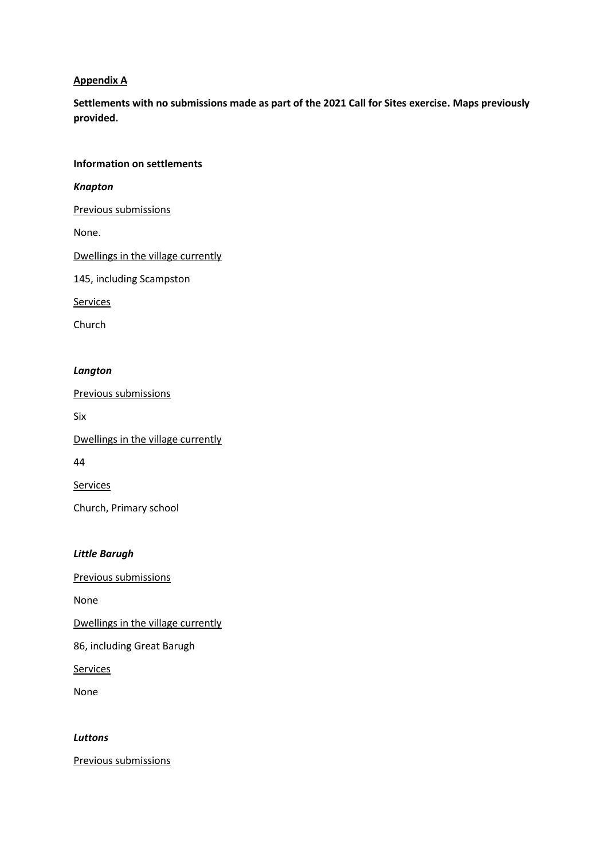## **Appendix A**

**Settlements with no submissions made as part of the 2021 Call for Sites exercise. Maps previously provided.**

#### **Information on settlements**

*Knapton*

Previous submissions

None.

Dwellings in the village currently

145, including Scampston

**Services** 

Church

#### *Langton*

Previous submissions

Six

Dwellings in the village currently

44

Services

Church, Primary school

## *Little Barugh*

Previous submissions

None

Dwellings in the village currently

86, including Great Barugh

**Services** 

None

*Luttons*

Previous submissions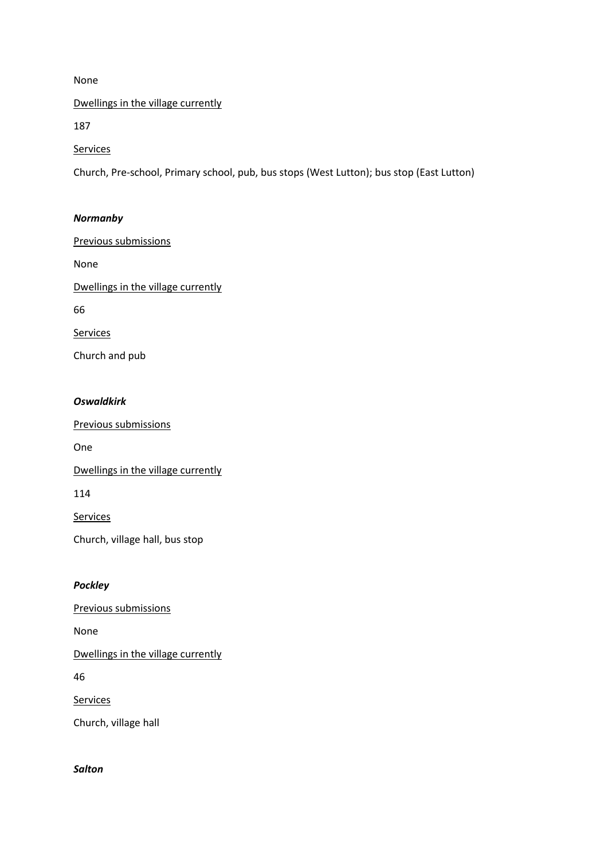#### None

Dwellings in the village currently

187

**Services** 

Church, Pre-school, Primary school, pub, bus stops (West Lutton); bus stop (East Lutton)

## *Normanby*

Previous submissions

None

Dwellings in the village currently

66

**Services** 

Church and pub

## *Oswaldkirk*

Previous submissions

One

Dwellings in the village currently

114

**Services** 

Church, village hall, bus stop

# *Pockley*

Previous submissions

None

Dwellings in the village currently

46

**Services** 

Church, village hall

# *Salton*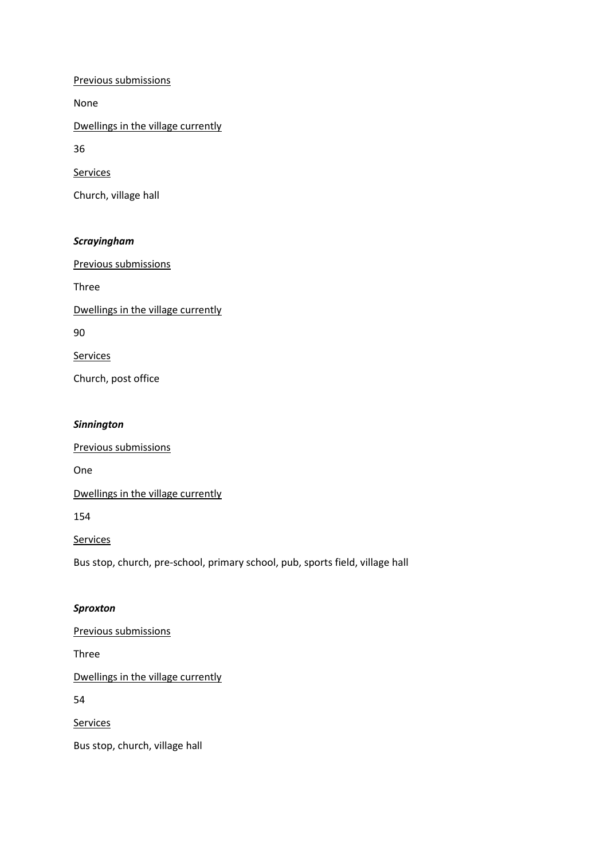Previous submissions

None

Dwellings in the village currently

36

**Services** 

Church, village hall

# *Scrayingham*

Previous submissions

Three

Dwellings in the village currently

90

Services

Church, post office

#### *Sinnington*

Previous submissions

One

Dwellings in the village currently

154

**Services** 

Bus stop, church, pre-school, primary school, pub, sports field, village hall

## *Sproxton*

Previous submissions

Three

Dwellings in the village currently

54

**Services** 

Bus stop, church, village hall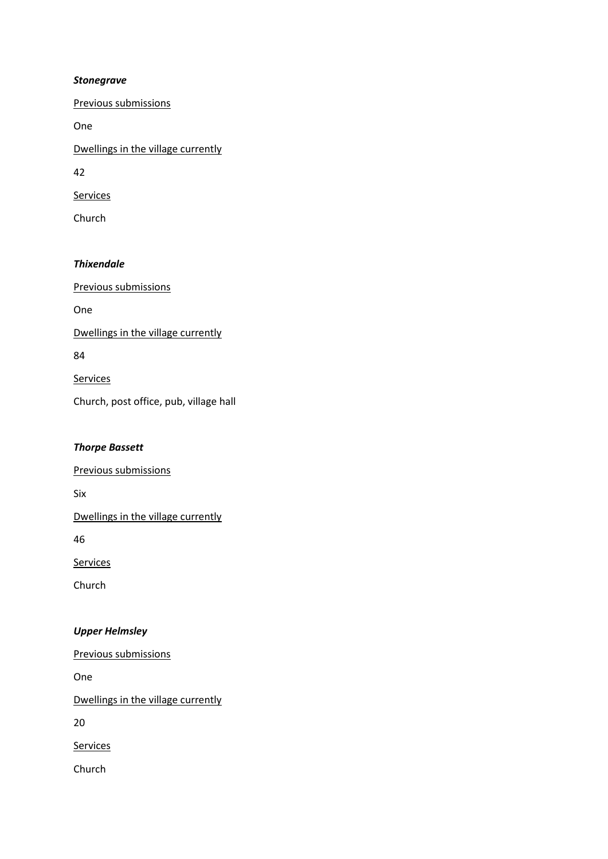## *Stonegrave*

Previous submissions

One

Dwellings in the village currently

42

**Services** 

Church

# *Thixendale*

Previous submissions One Dwellings in the village currently 84

Services

Church, post office, pub, village hall

# *Thorpe Bassett*

Previous submissions

Six

Dwellings in the village currently

46

**Services** 

Church

# *Upper Helmsley*

Previous submissions

One

Dwellings in the village currently

20

Services

Church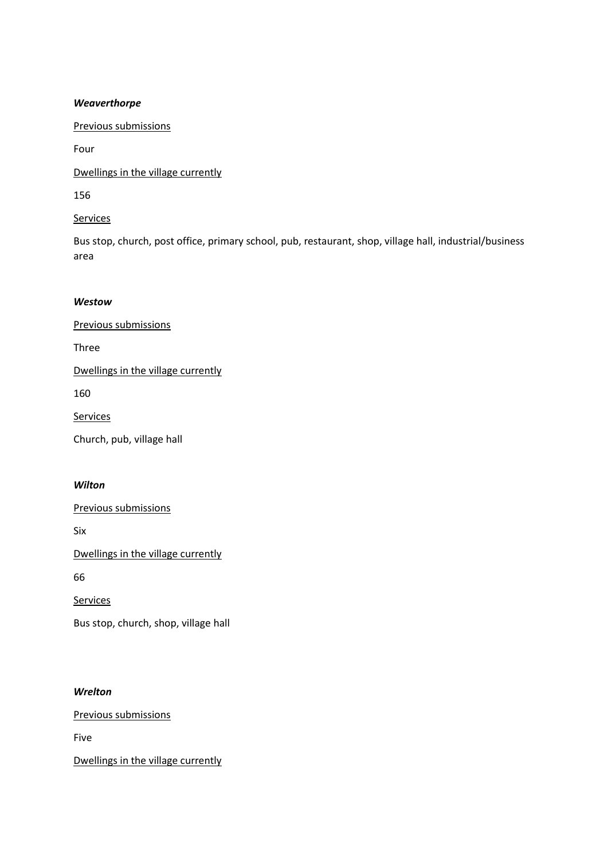#### *Weaverthorpe*

Previous submissions

Four

Dwellings in the village currently

156

Services

Bus stop, church, post office, primary school, pub, restaurant, shop, village hall, industrial/business area

## *Westow*

Previous submissions

Three

Dwellings in the village currently

160

**Services** 

Church, pub, village hall

#### *Wilton*

Previous submissions

Six

Dwellings in the village currently

66

**Services** 

Bus stop, church, shop, village hall

# *Wrelton*

Previous submissions

Five

Dwellings in the village currently